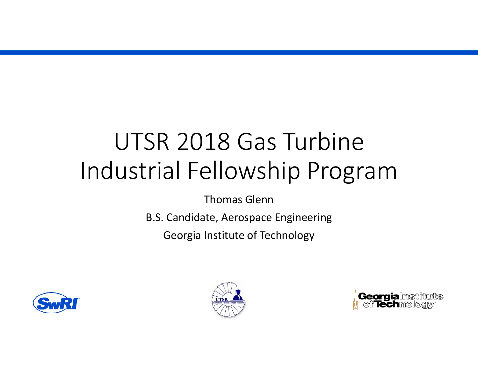# UTSR 2018 Gas Turbine Industrial Fellowship Program

Thomas Glenn

B.S. Candidate, Aerospace Engineering

Georgia Institute of Technology





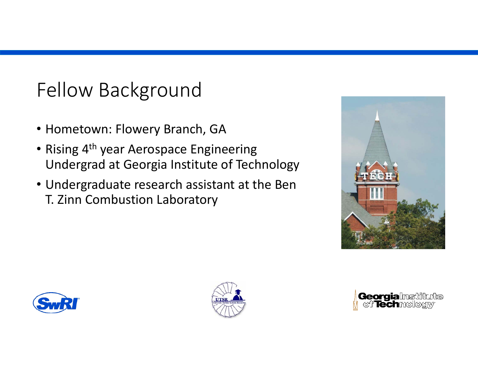### Fellow Background

- Hometown: Flowery Branch, GA
- Rising 4<sup>th</sup> year Aerospace Engineering Undergrad at Georgia Institute of Technology
- Undergraduate research assistant at the Ben T. Zinn Combustion Laboratory







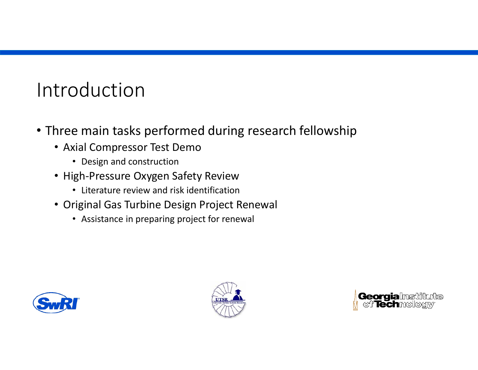# Introduction

- Three main tasks performed during research fellowship
	- Axial Compressor Test Demo
		- Design and construction
	- High‐Pressure Oxygen Safety Review
		- Literature review and risk identification
	- Original Gas Turbine Design Project Renewal
		- Assistance in preparing project for renewal





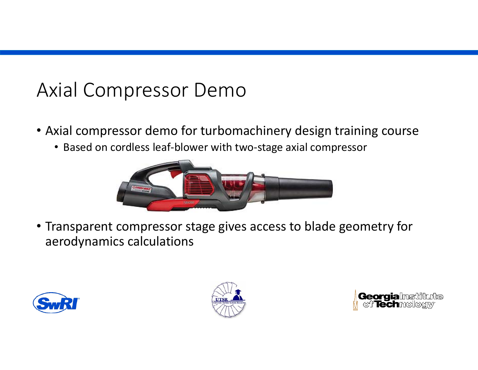#### Axial Compressor Demo

- Axial compressor demo for turbomachinery design training course
	- Based on cordless leaf‐blower with two‐stage axial compressor



• Transparent compressor stage gives access to blade geometry for aerodynamics calculations





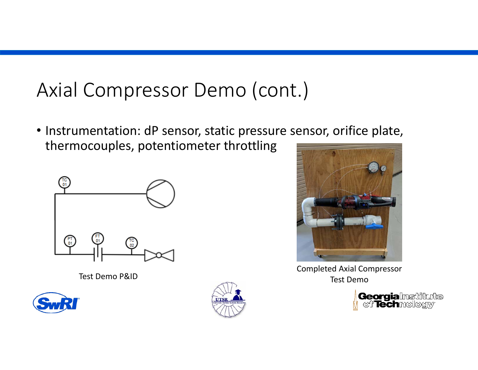## Axial Compressor Demo (cont.)

• Instrumentation: dP sensor, static pressure sensor, orifice plate, thermocouples, potentiometer throttling



Test Demo P&ID







Completed Axial Compressor **Test Demo** 

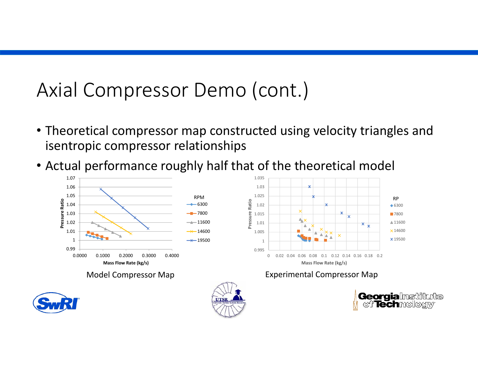## Axial Compressor Demo (cont.)

- Theoretical compressor map constructed using velocity triangles and isentropic compressor relationships
- Actual performance roughly half that of the theoretical model

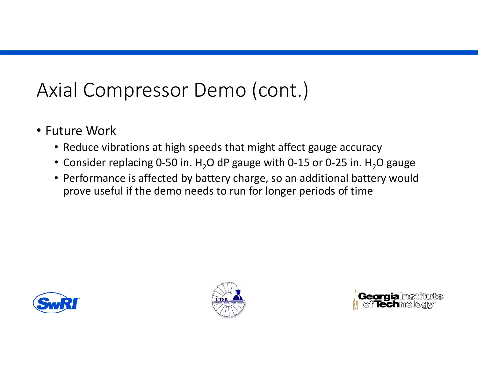## Axial Compressor Demo (cont.)

- Future Work
	- Reduce vibrations at high speeds that might affect gauge accuracy
	- Consider replacing 0-50 in.  $\text{H}_{2}$ O dP gauge with 0-15 or 0-25 in.  $\text{H}_{2}$ O gauge
	- Performance is affected by battery charge, so an additional battery would prove useful if the demo needs to run for longer periods of time





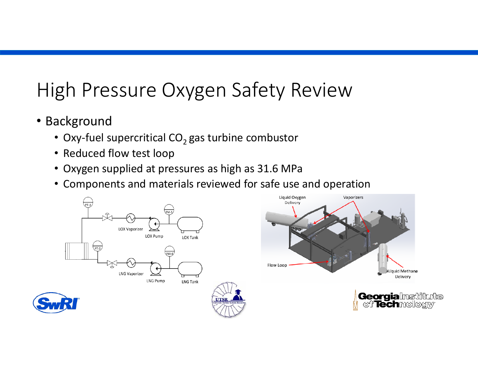# High Pressure Oxygen Safety Review

- Background
	- Oxy-fuel supercritical CO $_2$  gas turbine combustor
	- Reduced flow test loop
	- Oxygen supplied at pressures as high as 31.6 MPa
	- Components and materials reviewed for safe use and operation

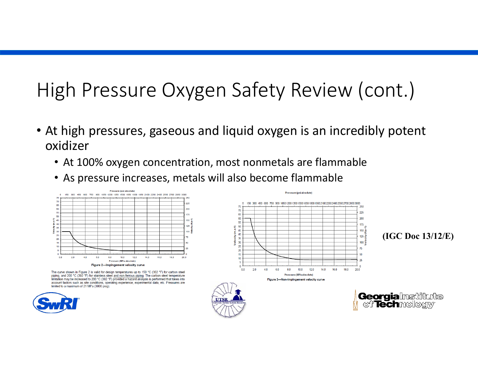# High Pressure Oxygen Safety Review (cont.)

- At high pressures, gaseous and liquid oxygen is an incredibly potent oxidizer
	- At 100% oxygen concentration, most nonmetals are flammable
	- As pressure increases, metals will also become flammable



The curve shown in Figure 2 is valid for design temperatures up to 150 °C (302 °F) for carbon steel piping, and 200 °C (392 °F) for stainless steel and non-ferrous piping. The carbon steel temperature limitation may be increased to 200 °C (392 °F) provided a hazard analysis is performed that takes into account factors such as site conditions, operating experience, experimental data, etc. Pressures are limited to a maximum of 21 MPa (3000 psig).



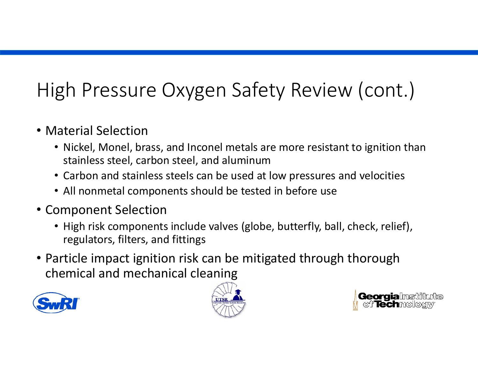# High Pressure Oxygen Safety Review (cont.)

- Material Selection
	- Nickel, Monel, brass, and Inconel metals are more resistant to ignition than stainless steel, carbon steel, and aluminum
	- Carbon and stainless steels can be used at low pressures and velocities
	- All nonmetal components should be tested in before use
- Component Selection
	- High risk components include valves (globe, butterfly, ball, check, relief), regulators, filters, and fittings
- Particle impact ignition risk can be mitigated through thorough chemical and mechanical cleaning





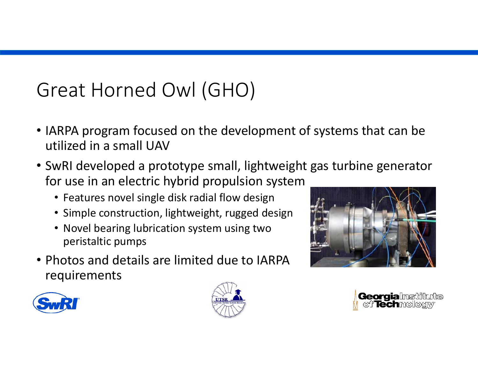# Great Horned Owl (GHO)

- IARPA program focused on the development of systems that can be utilized in <sup>a</sup> small UAV
- SwRI developed <sup>a</sup> prototype small, lightweight gas turbine generator for use in an electric hybrid propulsion system
	- Features novel single disk radial flow design
	- Simple construction, lightweight, rugged design
	- Novel bearing lubrication system using two peristaltic pumps
- Photos and details are limited due to IARPArequirements







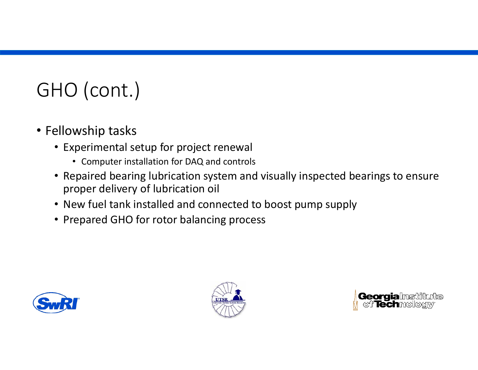# GHO (cont.)

- Fellowship tasks
	- Experimental setup for project renewal
		- Computer installation for DAQ and controls
	- Repaired bearing lubrication system and visually inspected bearings to ensure proper delivery of lubrication oil
	- New fuel tank installed and connected to boost pump supply
	- Prepared GHO for rotor balancing process





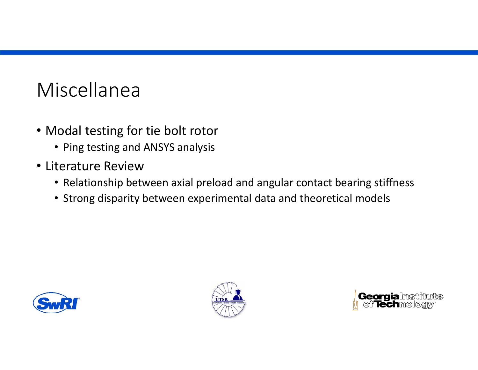# Miscellanea

- Modal testing for tie bolt rotor
	- Ping testing and ANSYS analysis
- Literature Review
	- Relationship between axial preload and angular contact bearing stiffness
	- Strong disparity between experimental data and theoretical models